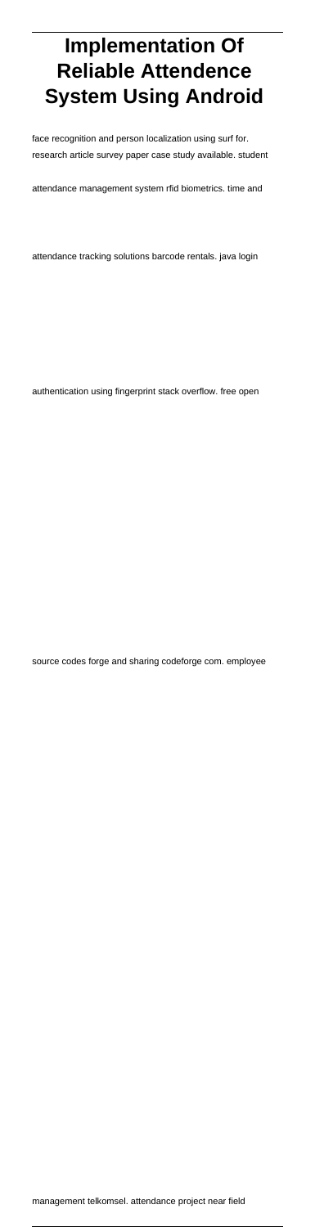# **Implementation Of Reliable Attendence System Using Android**

face recognition and person localization using surf for. research article survey paper case study available. student

attendance management system rfid biometrics. time and

attendance tracking solutions barcode rentals. java login

authentication using fingerprint stack overflow. free open

source codes forge and sharing codeforge com. employee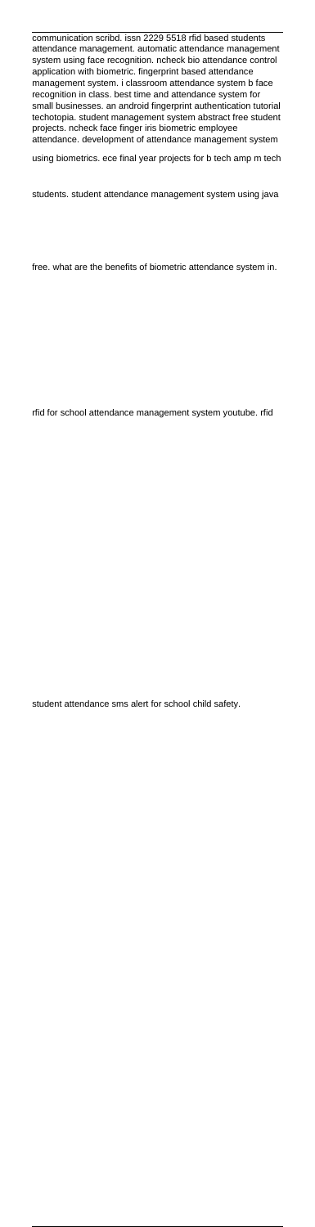communication scribd. issn 2229 5518 rfid based students attendance management. automatic attendance management system using face recognition. ncheck bio attendance control application with biometric. fingerprint based attendance management system. i classroom attendance system b face recognition in class. best time and attendance system for small businesses. an android fingerprint authentication tutorial techotopia. student management system abstract free student projects. ncheck face finger iris biometric employee attendance. development of attendance management system

using biometrics. ece final year projects for b tech amp m tech

students. student attendance management system using java

free. what are the benefits of biometric attendance system in.

rfid for school attendance management system youtube. rfid

student attendance sms alert for school child safety.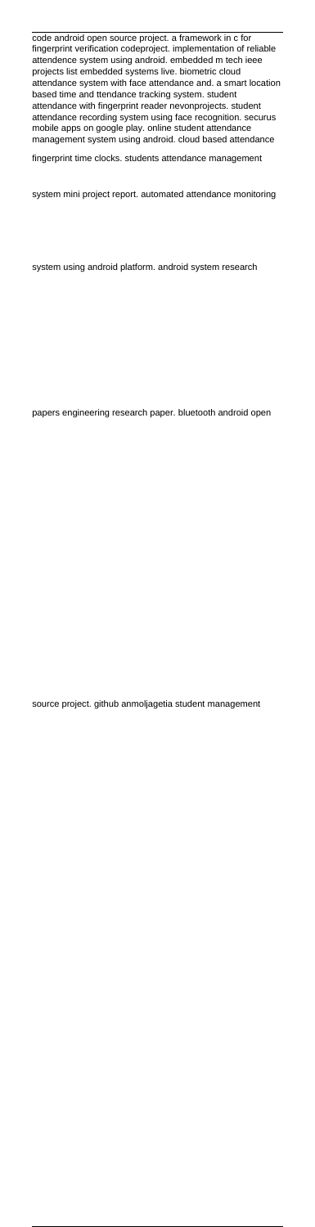code android open source project. a framework in c for fingerprint verification codeproject. implementation of reliable attendence system using android. embedded m tech ieee projects list embedded systems live. biometric cloud attendance system with face attendance and. a smart location based time and ttendance tracking system. student attendance with fingerprint reader nevonprojects. student attendance recording system using face recognition. securus mobile apps on google play. online student attendance management system using android. cloud based attendance

fingerprint time clocks. students attendance management

system mini project report. automated attendance monitoring

system using android platform. android system research

papers engineering research paper. bluetooth android open

source project. github anmoljagetia student management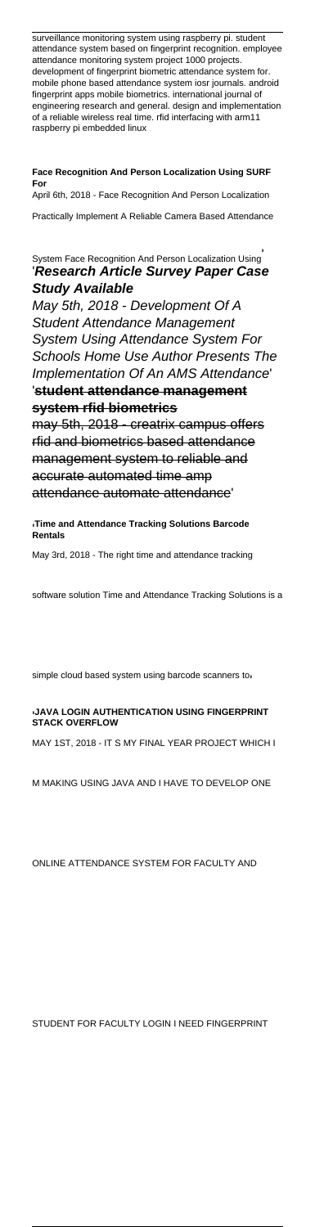surveillance monitoring system using raspberry pi. student attendance system based on fingerprint recognition. employee attendance monitoring system project 1000 projects. development of fingerprint biometric attendance system for. mobile phone based attendance system iosr journals. android fingerprint apps mobile biometrics. international journal of engineering research and general. design and implementation of a reliable wireless real time. rfid interfacing with arm11 raspberry pi embedded linux

**Face Recognition And Person Localization Using SURF For** April 6th, 2018 - Face Recognition And Person Localization Practically Implement A Reliable Camera Based Attendance

System Face Recognition And Person Localization Using' '**Research Article Survey Paper Case Study Available**

May 5th, 2018 - Development Of A Student Attendance Management System Using Attendance System For Schools Home Use Author Presents The Implementation Of An AMS Attendance' '**student attendance management system rfid biometrics**

may 5th, 2018 - creatrix campus offers rfid and biometrics based attendance management system to reliable and accurate automated time amp attendance automate attendance'

'**Time and Attendance Tracking Solutions Barcode Rentals**

May 3rd, 2018 - The right time and attendance tracking

software solution Time and Attendance Tracking Solutions is a

simple cloud based system using barcode scanners to

'**JAVA LOGIN AUTHENTICATION USING FINGERPRINT STACK OVERFLOW**

MAY 1ST, 2018 - IT S MY FINAL YEAR PROJECT WHICH I

M MAKING USING JAVA AND I HAVE TO DEVELOP ONE

ONLINE ATTENDANCE SYSTEM FOR FACULTY AND

STUDENT FOR FACULTY LOGIN I NEED FINGERPRINT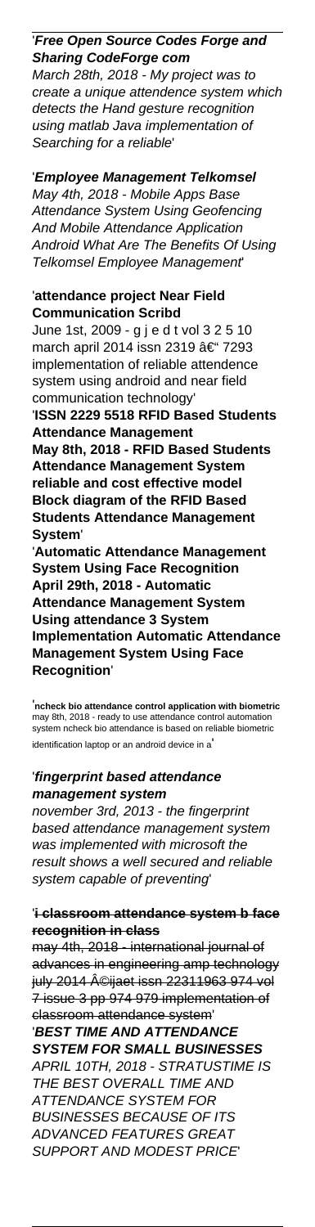# '**Free Open Source Codes Forge and Sharing CodeForge com**

March 28th, 2018 - My project was to create a unique attendence system which detects the Hand gesture recognition using matlab Java implementation of Searching for a reliable'

# '**Employee Management Telkomsel**

May 4th, 2018 - Mobile Apps Base Attendance System Using Geofencing And Mobile Attendance Application Android What Are The Benefits Of Using Telkomsel Employee Management'

### '**attendance project Near Field Communication Scribd**

June 1st, 2009 - g j e d t vol 3 2 5 10 march april 2014 issn 2319  $\hat{a} \in 7293$ implementation of reliable attendence system using android and near field communication technology'

'**ISSN 2229 5518 RFID Based Students Attendance Management**

**May 8th, 2018 - RFID Based Students Attendance Management System reliable and cost effective model Block diagram of the RFID Based Students Attendance Management System**'

'**Automatic Attendance Management System Using Face Recognition April 29th, 2018 - Automatic Attendance Management System Using attendance 3 System Implementation Automatic Attendance Management System Using Face Recognition**'

'**ncheck bio attendance control application with biometric** may 8th, 2018 - ready to use attendance control automation system ncheck bio attendance is based on reliable biometric identification laptop or an android device in a'

#### '**fingerprint based attendance management system**

november 3rd, 2013 - the fingerprint based attendance management system was implemented with microsoft the result shows a well secured and reliable system capable of preventing'

#### '**i classroom attendance system b face recognition in class**

may 4th, 2018 - international journal of advances in engineering amp technology july 2014 ©ijaet issn 22311963 974 vol 7 issue 3 pp 974 979 implementation of classroom attendance system'

'**BEST TIME AND ATTENDANCE SYSTEM FOR SMALL BUSINESSES** APRIL 10TH, 2018 - STRATUSTIME IS THE BEST OVERALL TIME AND ATTENDANCE SYSTEM FOR BUSINESSES BECAUSE OF ITS ADVANCED FEATURES GREAT SUPPORT AND MODEST PRICE'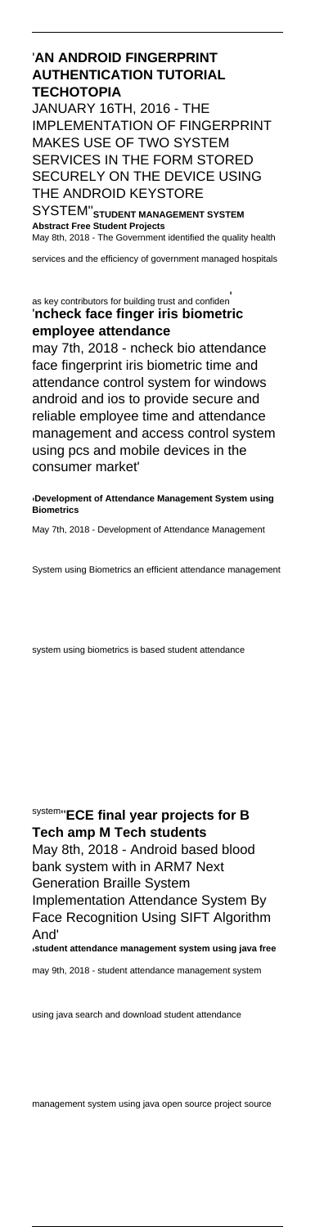#### '**AN ANDROID FINGERPRINT AUTHENTICATION TUTORIAL TECHOTOPIA**

JANUARY 16TH, 2016 - THE IMPLEMENTATION OF FINGERPRINT MAKES USE OF TWO SYSTEM SERVICES IN THE FORM STORED SECURELY ON THE DEVICE USING THE ANDROID KEYSTORE

SYSTEM''**STUDENT MANAGEMENT SYSTEM Abstract Free Student Projects** May 8th, 2018 - The Government identified the quality health

services and the efficiency of government managed hospitals

#### as key contributors for building trust and confiden' '**ncheck face finger iris biometric employee attendance**

may 7th, 2018 - ncheck bio attendance face fingerprint iris biometric time and attendance control system for windows android and ios to provide secure and reliable employee time and attendance management and access control system using pcs and mobile devices in the consumer market'

'**Development of Attendance Management System using Biometrics**

May 7th, 2018 - Development of Attendance Management

System using Biometrics an efficient attendance management

system using biometrics is based student attendance

system''**ECE final year projects for B Tech amp M Tech students** May 8th, 2018 - Android based blood bank system with in ARM7 Next Generation Braille System Implementation Attendance System By Face Recognition Using SIFT Algorithm And' '**student attendance management system using java free** may 9th, 2018 - student attendance management system

using java search and download student attendance

management system using java open source project source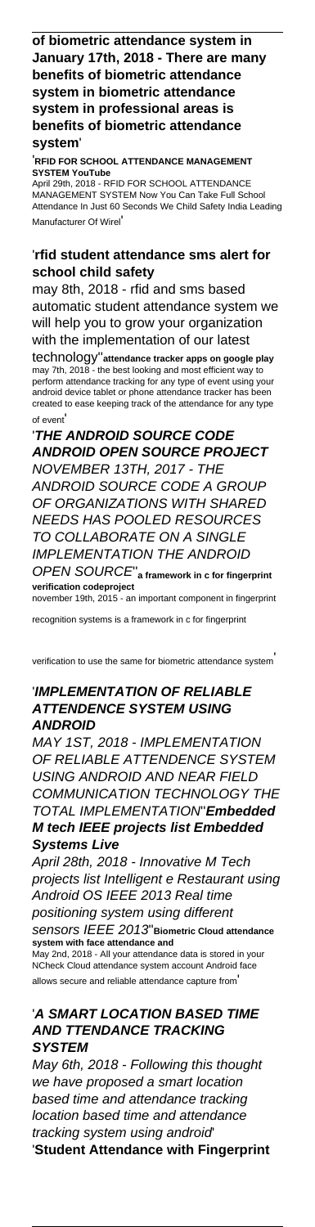#### **of biometric attendance system in January 17th, 2018 - There are many benefits of biometric attendance system in biometric attendance system in professional areas is benefits of biometric attendance system**'

'**RFID FOR SCHOOL ATTENDANCE MANAGEMENT SYSTEM YouTube** April 29th, 2018 - RFID FOR SCHOOL ATTENDANCE MANAGEMENT SYSTEM Now You Can Take Full School Attendance In Just 60 Seconds We Child Safety India Leading Manufacturer Of Wirel'

#### '**rfid student attendance sms alert for school child safety**

may 8th, 2018 - rfid and sms based automatic student attendance system we will help you to grow your organization with the implementation of our latest

technology''**attendance tracker apps on google play** may 7th, 2018 - the best looking and most efficient way to perform attendance tracking for any type of event using your android device tablet or phone attendance tracker has been created to ease keeping track of the attendance for any type of event'

'**THE ANDROID SOURCE CODE ANDROID OPEN SOURCE PROJECT** NOVEMBER 13TH, 2017 - THE ANDROID SOURCE CODE A GROUP OF ORGANIZATIONS WITH SHARED NEEDS HAS POOLED RESOURCES TO COLLABORATE ON A SINGLE IMPLEMENTATION THE ANDROID OPEN SOURCE''**a framework in c for fingerprint**

**verification codeproject** november 19th, 2015 - an important component in fingerprint

recognition systems is a framework in c for fingerprint

verification to use the same for biometric attendance system'

#### '**IMPLEMENTATION OF RELIABLE ATTENDENCE SYSTEM USING ANDROID**

MAY 1ST, 2018 - IMPLEMENTATION OF RELIABLE ATTENDENCE SYSTEM USING ANDROID AND NEAR FIELD COMMUNICATION TECHNOLOGY THE TOTAL IMPLEMENTATION''**Embedded M tech IEEE projects list Embedded Systems Live**

April 28th, 2018 - Innovative M Tech projects list Intelligent e Restaurant using Android OS IEEE 2013 Real time positioning system using different sensors IEEE 2013''**Biometric Cloud attendance system with face attendance and** May 2nd, 2018 - All your attendance data is stored in your NCheck Cloud attendance system account Android face allows secure and reliable attendance capture from'

## '**A SMART LOCATION BASED TIME AND TTENDANCE TRACKING SYSTEM**

May 6th, 2018 - Following this thought we have proposed a smart location based time and attendance tracking location based time and attendance tracking system using android' '**Student Attendance with Fingerprint**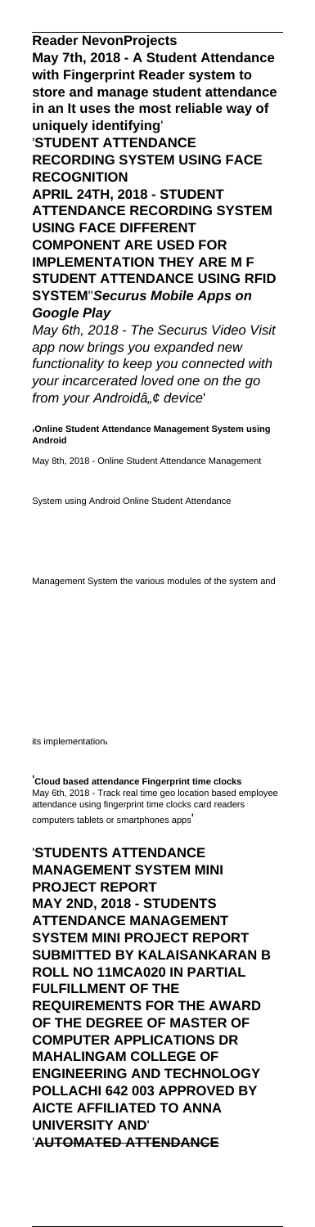**Reader NevonProjects May 7th, 2018 - A Student Attendance with Fingerprint Reader system to store and manage student attendance in an It uses the most reliable way of uniquely identifying**' '**STUDENT ATTENDANCE**

**RECORDING SYSTEM USING FACE RECOGNITION**

**APRIL 24TH, 2018 - STUDENT ATTENDANCE RECORDING SYSTEM USING FACE DIFFERENT**

**COMPONENT ARE USED FOR IMPLEMENTATION THEY ARE M F STUDENT ATTENDANCE USING RFID SYSTEM**''**Securus Mobile Apps on Google Play**

May 6th, 2018 - The Securus Video Visit app now brings you expanded new functionality to keep you connected with your incarcerated loved one on the go from your Androidâ" $\epsilon$  device'

'**Online Student Attendance Management System using Android**

May 8th, 2018 - Online Student Attendance Management

System using Android Online Student Attendance

Management System the various modules of the system and

its implementation

'**Cloud based attendance Fingerprint time clocks** May 6th, 2018 - Track real time geo location based employee attendance using fingerprint time clocks card readers computers tablets or smartphones apps'

'**STUDENTS ATTENDANCE MANAGEMENT SYSTEM MINI PROJECT REPORT MAY 2ND, 2018 - STUDENTS ATTENDANCE MANAGEMENT SYSTEM MINI PROJECT REPORT SUBMITTED BY KALAISANKARAN B ROLL NO 11MCA020 IN PARTIAL FULFILLMENT OF THE REQUIREMENTS FOR THE AWARD OF THE DEGREE OF MASTER OF COMPUTER APPLICATIONS DR MAHALINGAM COLLEGE OF ENGINEERING AND TECHNOLOGY POLLACHI 642 003 APPROVED BY AICTE AFFILIATED TO ANNA UNIVERSITY AND**' '**AUTOMATED ATTENDANCE**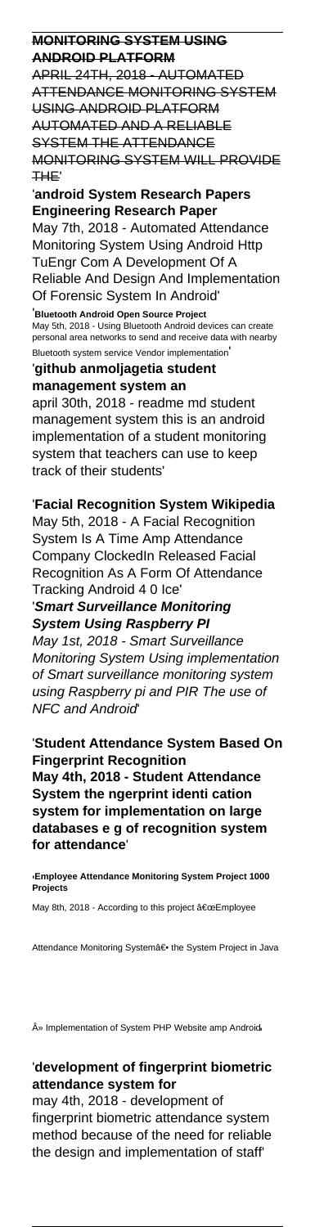#### **MONITORING SYSTEM USING ANDROID PLATFORM**

APRIL 24TH, 2018 - AUTOMATED ATTENDANCE MONITORING SYSTEM USING ANDROID PLATFORM AUTOMATED AND A RELIABLE SYSTEM THE ATTENDANCE MONITORING SYSTEM WILL PROVIDE THE'

'**android System Research Papers Engineering Research Paper** May 7th, 2018 - Automated Attendance Monitoring System Using Android Http TuEngr Com A Development Of A Reliable And Design And Implementation Of Forensic System In Android'

'**Bluetooth Android Open Source Project** May 5th, 2018 - Using Bluetooth Android devices can create personal area networks to send and receive data with nearby Bluetooth system service Vendor implementation'

'**github anmoljagetia student management system an** april 30th, 2018 - readme md student management system this is an android implementation of a student monitoring system that teachers can use to keep track of their students'

'**Facial Recognition System Wikipedia** May 5th, 2018 - A Facial Recognition System Is A Time Amp Attendance Company ClockedIn Released Facial Recognition As A Form Of Attendance Tracking Android 4 0 Ice'

'**Smart Surveillance Monitoring System Using Raspberry PI** May 1st, 2018 - Smart Surveillance Monitoring System Using implementation

of Smart surveillance monitoring system using Raspberry pi and PIR The use of NFC and Android'

'**Student Attendance System Based On Fingerprint Recognition May 4th, 2018 - Student Attendance System the ngerprint identi cation system for implementation on large databases e g of recognition system for attendance**'

'**Employee Attendance Monitoring System Project 1000 Projects**

May 8th, 2018 - According to this project "Employee

Attendance Monitoring Systema<sup>ۥ</sup> the System Project in Java

» Implementation of System PHP Website amp Android'

# '**development of fingerprint biometric attendance system for**

may 4th, 2018 - development of fingerprint biometric attendance system method because of the need for reliable the design and implementation of staff'